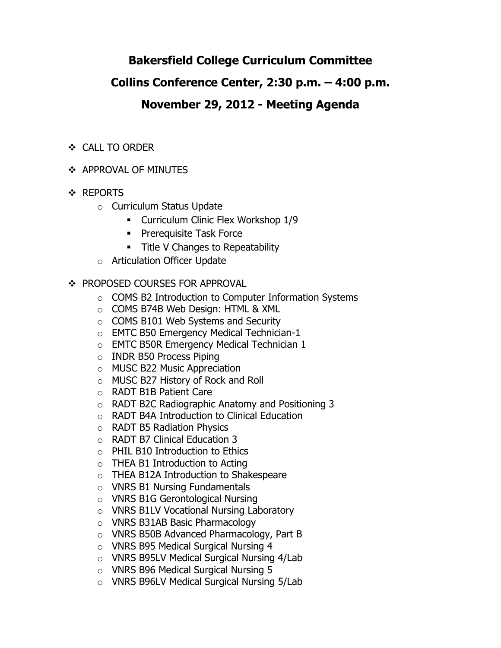# **Bakersfield College Curriculum Committee**

# **Collins Conference Center, 2:30 p.m. – 4:00 p.m.**

# **November 29, 2012 - Meeting Agenda**

- CALL TO ORDER
- **❖ APPROVAL OF MINUTES**
- **❖ REPORTS** 
	- o Curriculum Status Update
		- **Curriculum Clinic Flex Workshop 1/9**
		- **Prerequisite Task Force**
		- **Title V Changes to Repeatability**
	- o Articulation Officer Update
- ❖ PROPOSED COURSES FOR APPROVAL
	- o COMS B2 Introduction to Computer Information Systems
	- o COMS B74B Web Design: HTML & XML
	- o COMS B101 Web Systems and Security
	- o EMTC B50 Emergency Medical Technician-1
	- o EMTC B50R Emergency Medical Technician 1
	- o INDR B50 Process Piping
	- o MUSC B22 Music Appreciation
	- o MUSC B27 History of Rock and Roll
	- o RADT B1B Patient Care
	- o RADT B2C Radiographic Anatomy and Positioning 3
	- o RADT B4A Introduction to Clinical Education
	- o RADT B5 Radiation Physics
	- o RADT B7 Clinical Education 3
	- $\circ$  PHIL B10 Introduction to Ethics
	- $\circ$  THEA B1 Introduction to Acting
	- o THEA B12A Introduction to Shakespeare
	- o VNRS B1 Nursing Fundamentals
	- o VNRS B1G Gerontological Nursing
	- o VNRS B1LV Vocational Nursing Laboratory
	- o VNRS B31AB Basic Pharmacology
	- o VNRS B50B Advanced Pharmacology, Part B
	- o VNRS B95 Medical Surgical Nursing 4
	- o VNRS B95LV Medical Surgical Nursing 4/Lab
	- o VNRS B96 Medical Surgical Nursing 5
	- o VNRS B96LV Medical Surgical Nursing 5/Lab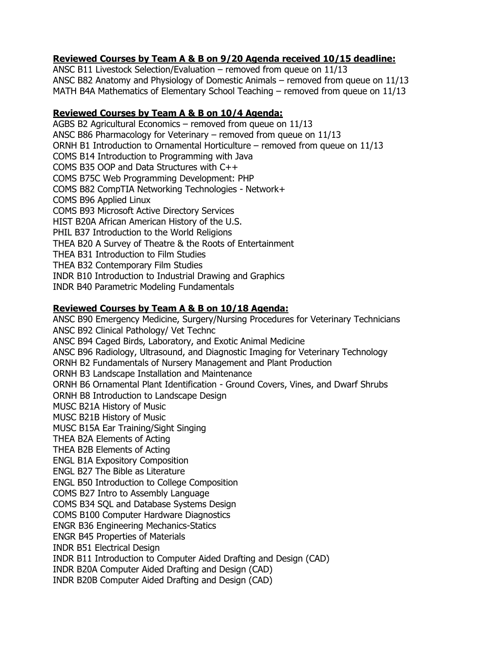## **Reviewed Courses by Team A & B on 9/20 Agenda received 10/15 deadline:**

ANSC B11 Livestock Selection/Evaluation – removed from queue on 11/13 ANSC B82 Anatomy and Physiology of Domestic Animals – removed from queue on 11/13 MATH B4A Mathematics of Elementary School Teaching – removed from queue on 11/13

### **Reviewed Courses by Team A & B on 10/4 Agenda:**

AGBS B2 Agricultural Economics – removed from queue on 11/13 ANSC B86 Pharmacology for Veterinary – removed from queue on 11/13 ORNH B1 Introduction to Ornamental Horticulture – removed from queue on 11/13 COMS B14 Introduction to Programming with Java COMS B35 OOP and Data Structures with C++ COMS B75C Web Programming Development: PHP COMS B82 CompTIA Networking Technologies - Network+ COMS B96 Applied Linux COMS B93 Microsoft Active Directory Services HIST B20A African American History of the U.S. PHIL B37 Introduction to the World Religions THEA B20 A Survey of Theatre & the Roots of Entertainment THEA B31 Introduction to Film Studies THEA B32 Contemporary Film Studies INDR B10 Introduction to Industrial Drawing and Graphics INDR B40 Parametric Modeling Fundamentals

## **Reviewed Courses by Team A & B on 10/18 Agenda:**

ANSC B90 Emergency Medicine, Surgery/Nursing Procedures for Veterinary Technicians ANSC B92 Clinical Pathology/ Vet Technc ANSC B94 Caged Birds, Laboratory, and Exotic Animal Medicine ANSC B96 Radiology, Ultrasound, and Diagnostic Imaging for Veterinary Technology ORNH B2 Fundamentals of Nursery Management and Plant Production ORNH B3 Landscape Installation and Maintenance ORNH B6 Ornamental Plant Identification - Ground Covers, Vines, and Dwarf Shrubs ORNH B8 Introduction to Landscape Design MUSC B21A History of Music MUSC B21B History of Music MUSC B15A Ear Training/Sight Singing THEA B2A Elements of Acting THEA B2B Elements of Acting ENGL B1A Expository Composition ENGL B27 The Bible as Literature ENGL B50 Introduction to College Composition COMS B27 Intro to Assembly Language COMS B34 SQL and Database Systems Design COMS B100 Computer Hardware Diagnostics ENGR B36 Engineering Mechanics-Statics ENGR B45 Properties of Materials INDR B51 Electrical Design INDR B11 Introduction to Computer Aided Drafting and Design (CAD) INDR B20A Computer Aided Drafting and Design (CAD) INDR B20B Computer Aided Drafting and Design (CAD)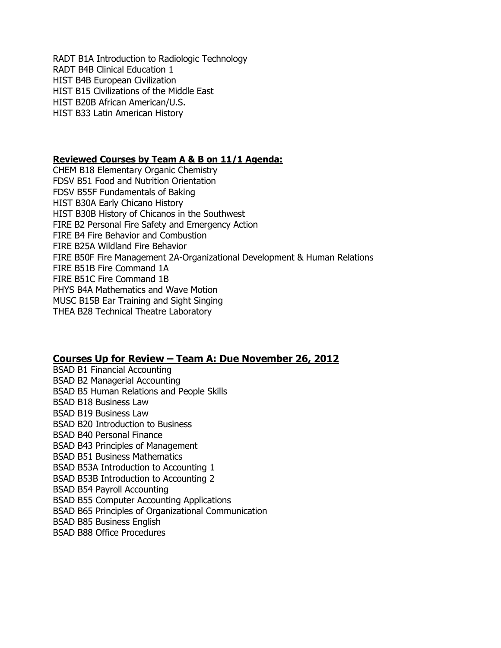RADT B1A Introduction to Radiologic Technology RADT B4B Clinical Education 1 HIST B4B European Civilization HIST B15 Civilizations of the Middle East HIST B20B African American/U.S. HIST B33 Latin American History

### **Reviewed Courses by Team A & B on 11/1 Agenda:**

CHEM B18 Elementary Organic Chemistry FDSV B51 Food and Nutrition Orientation FDSV B55F Fundamentals of Baking HIST B30A Early Chicano History HIST B30B History of Chicanos in the Southwest FIRE B2 Personal Fire Safety and Emergency Action FIRE B4 Fire Behavior and Combustion FIRE B25A Wildland Fire Behavior FIRE B50F Fire Management 2A-Organizational Development & Human Relations FIRE B51B Fire Command 1A FIRE B51C Fire Command 1B PHYS B4A Mathematics and Wave Motion MUSC B15B Ear Training and Sight Singing THEA B28 Technical Theatre Laboratory

### **Courses Up for Review – Team A: Due November 26, 2012**

BSAD B1 Financial Accounting BSAD B2 Managerial Accounting BSAD B5 Human Relations and People Skills BSAD B18 Business Law BSAD B19 Business Law BSAD B20 Introduction to Business BSAD B40 Personal Finance BSAD B43 Principles of Management BSAD B51 Business Mathematics BSAD B53A Introduction to Accounting 1 BSAD B53B Introduction to Accounting 2 BSAD B54 Payroll Accounting BSAD B55 Computer Accounting Applications BSAD B65 Principles of Organizational Communication BSAD B85 Business English BSAD B88 Office Procedures